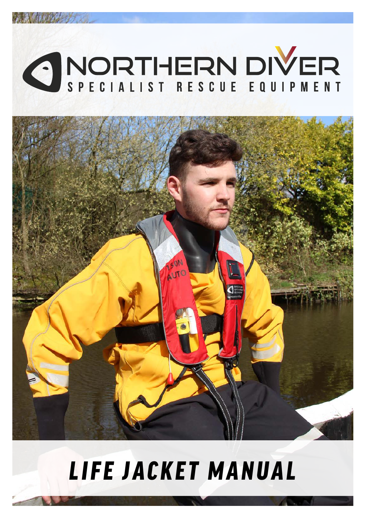



# *LIFE JACKET MANUAL*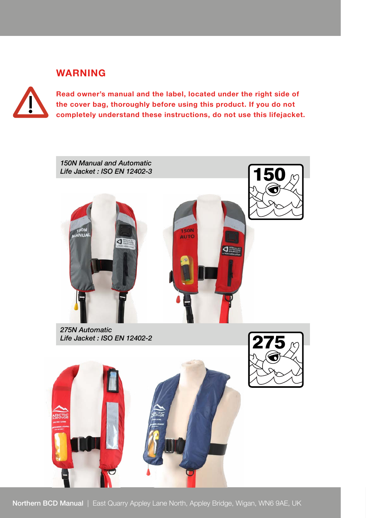### **WARNING**

**Read owner's manual and the label, located under the right side of the cover bag, thoroughly before using this product. If you do not completely understand these instructions, do not use this lifejacket.** 



*275N Automatic Life Jacket : ISO EN 12402-2*



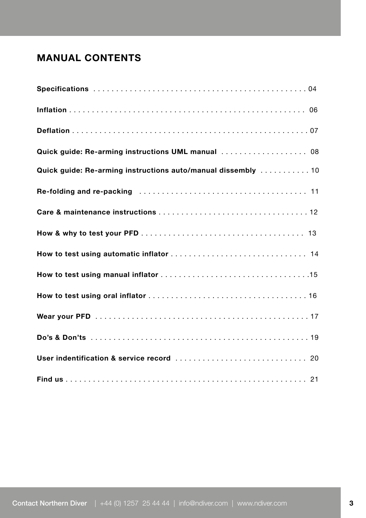## **MANUAL CONTENTS**

| Quick guide: Re-arming instructions UML manual  08           |
|--------------------------------------------------------------|
| Quick guide: Re-arming instructions auto/manual dissembly 10 |
|                                                              |
|                                                              |
|                                                              |
|                                                              |
|                                                              |
|                                                              |
|                                                              |
|                                                              |
|                                                              |
|                                                              |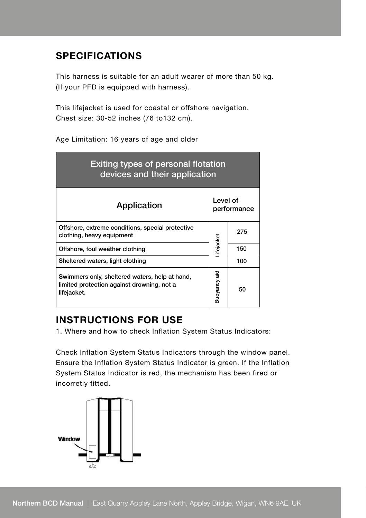## **SPECIFICATIONS**

This harness is suitable for an adult wearer of more than 50 kg. (If your PFD is equipped with harness).

This lifejacket is used for coastal or offshore navigation. Chest size: 30-52 inches (76 to132 cm).

Age Limitation: 16 years of age and older

| Exiting types of personal flotation<br>devices and their application                                        |                         |     |  |  |  |
|-------------------------------------------------------------------------------------------------------------|-------------------------|-----|--|--|--|
| Application                                                                                                 | Level of<br>performance |     |  |  |  |
| Offshore, extreme conditions, special protective<br>clothing, heavy equipment                               |                         | 275 |  |  |  |
| Offshore, foul weather clothing                                                                             | <b>Lifejacket</b>       | 150 |  |  |  |
| Sheltered waters, light clothing                                                                            |                         | 100 |  |  |  |
| Swimmers only, sheltered waters, help at hand,<br>limited protection against drowning, not a<br>lifejacket. | Buoyancy aid            | 50  |  |  |  |

## **INSTRUCTIONS FOR USE**

1. Where and how to check Inflation System Status Indicators:

Check Inflation System Status Indicators through the window panel. Ensure the Inflation System Status Indicator is green. If the Inflation System Status Indicator is red, the mechanism has been fired or incorretly fitted.

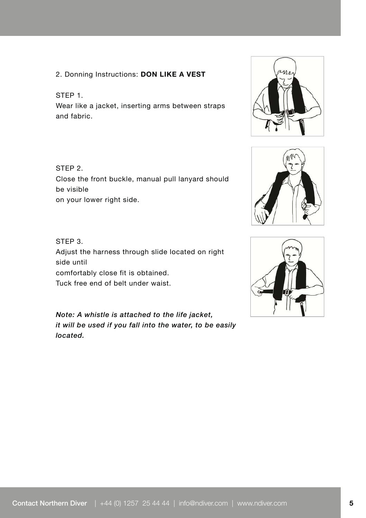#### 2. Donning Instructions: **DON LIKE A VEST**

#### STEP 1.

Wear like a jacket, inserting arms between straps and fabric.

#### STEP 2.

Close the front buckle, manual pull lanyard should be visible on your lower right side.

#### STEP 3. Adjust the harness through slide located on right side until comfortably close fit is obtained. Tuck free end of belt under waist.

*Note: A whistle is attached to the life jacket, it will be used if you fall into the water, to be easily located.* 





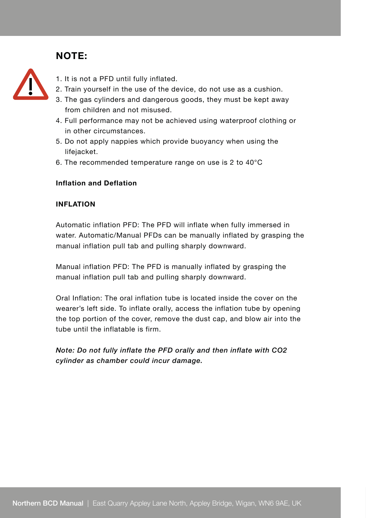## **NOTE:**



- 1. It is not a PFD until fully inflated.
- 2. Train yourself in the use of the device, do not use as a cushion.
- 3. The gas cylinders and dangerous goods, they must be kept away from children and not misused.
- 4. Full performance may not be achieved using waterproof clothing or in other circumstances.
- 5. Do not apply nappies which provide buoyancy when using the lifejacket.
- 6. The recommended temperature range on use is 2 to 40°C

#### **Inflation and Deflation**

#### **INFLATION**

Automatic inflation PFD: The PFD will inflate when fully immersed in water. Automatic/Manual PFDs can be manually inflated by grasping the manual inflation pull tab and pulling sharply downward.

Manual inflation PFD: The PFD is manually inflated by grasping the manual inflation pull tab and pulling sharply downward.

Oral Inflation: The oral inflation tube is located inside the cover on the wearer's left side. To inflate orally, access the inflation tube by opening the top portion of the cover, remove the dust cap, and blow air into the tube until the inflatable is firm.

*Note: Do not fully inflate the PFD orally and then inflate with CO2 cylinder as chamber could incur damage.*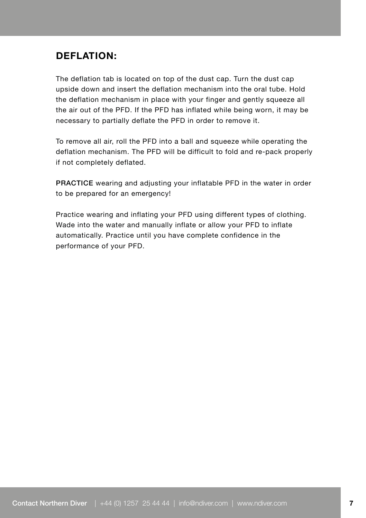## **DEFLATION:**

The deflation tab is located on top of the dust cap. Turn the dust cap upside down and insert the deflation mechanism into the oral tube. Hold the deflation mechanism in place with your finger and gently squeeze all the air out of the PFD. If the PFD has inflated while being worn, it may be necessary to partially deflate the PFD in order to remove it.

To remove all air, roll the PFD into a ball and squeeze while operating the deflation mechanism. The PFD will be difficult to fold and re-pack properly if not completely deflated.

PRACTICE wearing and adjusting your inflatable PFD in the water in order to be prepared for an emergency!

Practice wearing and inflating your PFD using different types of clothing. Wade into the water and manually inflate or allow your PFD to inflate automatically. Practice until you have complete confidence in the performance of your PFD.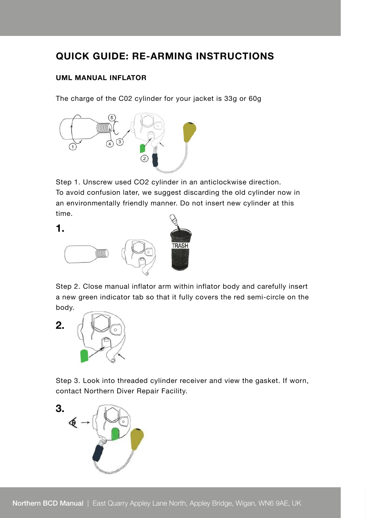## **QUICK GUIDE: RE-ARMING INSTRUCTIONS**

#### **UML MANUAL INFLATOR**

The charge of the C02 cylinder for your jacket is 33g or 60g



Step 1. Unscrew used CO2 cylinder in an anticlockwise direction. To avoid confusion later, we suggest discarding the old cylinder now in an environmentally friendly manner. Do not insert new cylinder at this time.

**1.**



Step 2. Close manual inflator arm within inflator body and carefully insert a new green indicator tab so that it fully covers the red semi-circle on the body.



Step 3. Look into threaded cylinder receiver and view the gasket. If worn, contact Northern Diver Repair Facility.

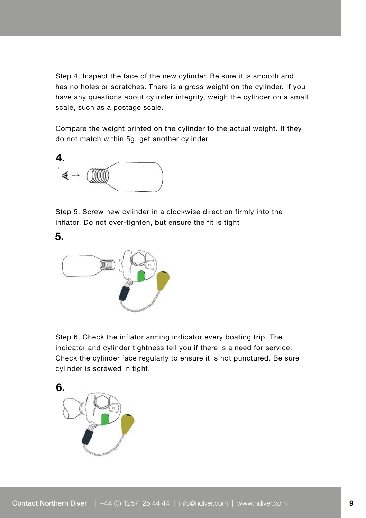Step 4. Inspect the face of the new cylinder. Be sure it is smooth and has no holes or scratches. There is a gross weight on the cylinder. If you have any questions about cylinder integrity, weigh the cylinder on a small scale, such as a postage scale.

Compare the weight printed on the cylinder to the actual weight. If they do not match within 5g, get another cylinder



Step 5. Screw new cylinder in a clockwise direction firmly into the inflator. Do not over-tighten, but ensure the fit is tight



Step 6. Check the inflator arming indicator every boating trip. The indicator and cylinder tightness tell you if there is a need for service. Check the cylinder face regularly to ensure it is not punctured. Be sure cylinder is screwed in tight.

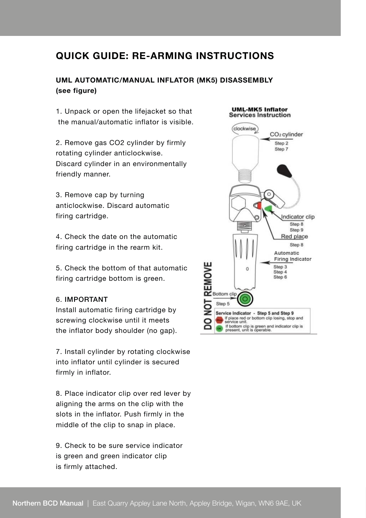## **QUICK GUIDE: RE-ARMING INSTRUCTIONS**

#### **UML AUTOMATIC/MANUAL INFLATOR (MK5) DISASSEMBLY (see figure)**

1. Unpack or open the lifejacket so that the manual/automatic inflator is visible.

2. Remove gas CO2 cylinder by firmly rotating cylinder anticlockwise. Discard cylinder in an environmentally friendly manner.

3. Remove cap by turning anticlockwise. Discard automatic firing cartridge.

4. Check the date on the automatic firing cartridge in the rearm kit.

5. Check the bottom of that automatic firing cartridge bottom is green.

#### 6. IMPORTANT

Install automatic firing cartridge by screwing clockwise until it meets the inflator body shoulder (no gap).

7. Install cylinder by rotating clockwise into inflator until cylinder is secured firmly in inflator.

8. Place indicator clip over red lever by aligning the arms on the clip with the slots in the inflator. Push firmly in the middle of the clip to snap in place.

9. Check to be sure service indicator is green and green indicator clip is firmly attached.

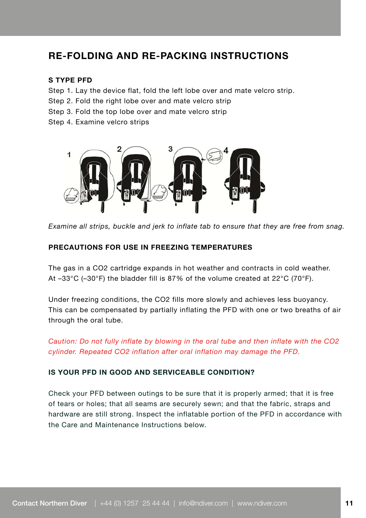## **RE-FOLDING AND RE-PACKING INSTRUCTIONS**

#### **S TYPE PFD**

- Step 1. Lay the device flat, fold the left lobe over and mate velcro strip.
- Step 2. Fold the right lobe over and mate velcro strip
- Step 3. Fold the top lobe over and mate velcro strip
- Step 4. Examine velcro strips



*Examine all strips, buckle and jerk to inflate tab to ensure that they are free from snag.*

#### **PRECAUTIONS FOR USE IN FREEZING TEMPERATURES**

The gas in a CO2 cartridge expands in hot weather and contracts in cold weather. At –33°C (–30°F) the bladder fill is 87% of the volume created at 22°C (70°F).

Under freezing conditions, the CO2 fills more slowly and achieves less buoyancy. This can be compensated by partially inflating the PFD with one or two breaths of air through the oral tube.

*Caution: Do not fully inflate by blowing in the oral tube and then inflate with the CO2 cylinder. Repeated CO2 inflation after oral inflation may damage the PFD.*

#### **IS YOUR PFD IN GOOD AND SERVICEABLE CONDITION?**

Check your PFD between outings to be sure that it is properly armed; that it is free of tears or holes; that all seams are securely sewn; and that the fabric, straps and hardware are still strong. Inspect the inflatable portion of the PFD in accordance with the Care and Maintenance Instructions below.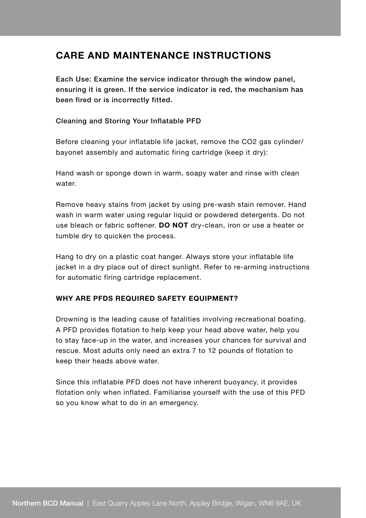## **CARE AND MAINTENANCE INSTRUCTIONS**

Each Use: Examine the service indicator through the window panel, ensuring it is green. If the service indicator is red, the mechanism has been fired or is incorrectly fitted.

#### Cleaning and Storing Your Inflatable PFD

Before cleaning your inflatable life jacket, remove the CO2 gas cylinder/ bayonet assembly and automatic firing cartridge (keep it dry):

Hand wash or sponge down in warm, soapy water and rinse with clean water.

Remove heavy stains from jacket by using pre-wash stain remover. Hand wash in warm water using regular liquid or powdered detergents. Do not use bleach or fabric softener. **DO NOT** dry-clean, iron or use a heater or tumble dry to quicken the process.

Hang to dry on a plastic coat hanger. Always store your inflatable life jacket in a dry place out of direct sunlight. Refer to re-arming instructions for automatic firing cartridge replacement.

#### **WHY ARE PFDS REQUIRED SAFETY EQUIPMENT?**

Drowning is the leading cause of fatalities involving recreational boating. A PFD provides flotation to help keep your head above water, help you to stay face-up in the water, and increases your chances for survival and rescue. Most adults only need an extra 7 to 12 pounds of flotation to keep their heads above water.

Since this inflatable PFD does not have inherent buoyancy, it provides flotation only when inflated. Familiarise yourself with the use of this PFD so you know what to do in an emergency.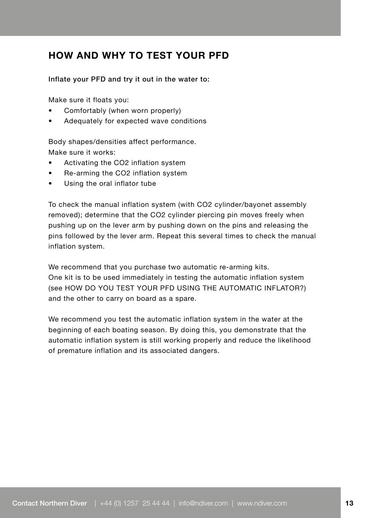## **HOW AND WHY TO TEST YOUR PFD**

Inflate your PFD and try it out in the water to:

Make sure it floats you:

- Comfortably (when worn properly)
- Adequately for expected wave conditions

Body shapes/densities affect performance. Make sure it works:

- Activating the CO2 inflation system
- Re-arming the CO2 inflation system
- Using the oral inflator tube

To check the manual inflation system (with CO2 cylinder/bayonet assembly removed); determine that the CO2 cylinder piercing pin moves freely when pushing up on the lever arm by pushing down on the pins and releasing the pins followed by the lever arm. Repeat this several times to check the manual inflation system.

We recommend that you purchase two automatic re-arming kits. One kit is to be used immediately in testing the automatic inflation system (see HOW DO YOU TEST YOUR PFD USING THE AUTOMATIC INFLATOR?) and the other to carry on board as a spare.

We recommend you test the automatic inflation system in the water at the beginning of each boating season. By doing this, you demonstrate that the automatic inflation system is still working properly and reduce the likelihood of premature inflation and its associated dangers.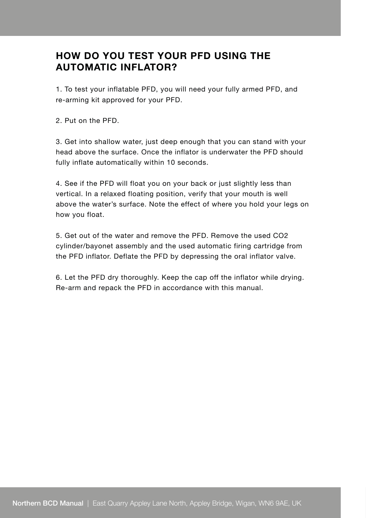## **HOW DO YOU TEST YOUR PFD USING THE AUTOMATIC INFLATOR?**

1. To test your inflatable PFD, you will need your fully armed PFD, and re-arming kit approved for your PFD.

2. Put on the PFD.

3. Get into shallow water, just deep enough that you can stand with your head above the surface. Once the inflator is underwater the PFD should fully inflate automatically within 10 seconds.

4. See if the PFD will float you on your back or just slightly less than vertical. In a relaxed floating position, verify that your mouth is well above the water's surface. Note the effect of where you hold your legs on how you float.

5. Get out of the water and remove the PFD. Remove the used CO2 cylinder/bayonet assembly and the used automatic firing cartridge from the PFD inflator. Deflate the PFD by depressing the oral inflator valve.

6. Let the PFD dry thoroughly. Keep the cap off the inflator while drying. Re-arm and repack the PFD in accordance with this manual.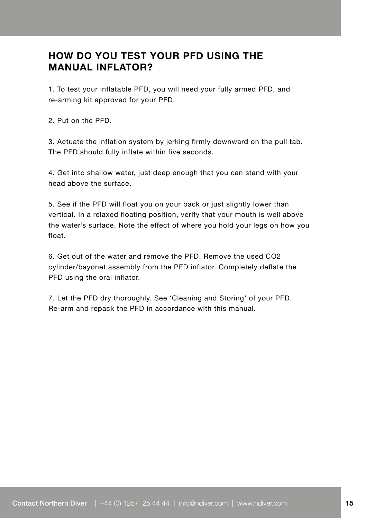## **HOW DO YOU TEST YOUR PFD USING THE MANUAL INFLATOR?**

1. To test your inflatable PFD, you will need your fully armed PFD, and re-arming kit approved for your PFD.

2. Put on the PFD.

3. Actuate the inflation system by jerking firmly downward on the pull tab. The PFD should fully inflate within five seconds.

4. Get into shallow water, just deep enough that you can stand with your head above the surface.

5. See if the PFD will float you on your back or just slightly lower than vertical. In a relaxed floating position, verify that your mouth is well above the water's surface. Note the effect of where you hold your legs on how you float.

6. Get out of the water and remove the PFD. Remove the used CO2 cylinder/bayonet assembly from the PFD inflator. Completely deflate the PFD using the oral inflator.

7. Let the PFD dry thoroughly. See 'Cleaning and Storing' of your PFD. Re-arm and repack the PFD in accordance with this manual.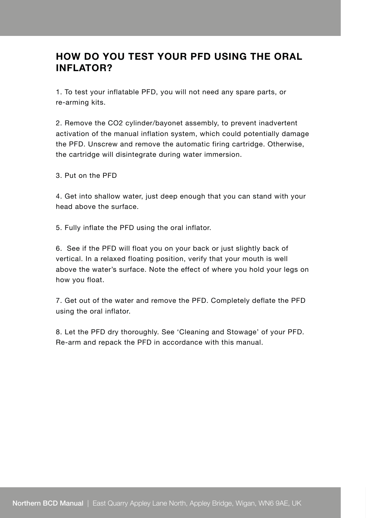## **HOW DO YOU TEST YOUR PFD USING THE ORAL INFLATOR?**

1. To test your inflatable PFD, you will not need any spare parts, or re-arming kits.

2. Remove the CO2 cylinder/bayonet assembly, to prevent inadvertent activation of the manual inflation system, which could potentially damage the PFD. Unscrew and remove the automatic firing cartridge. Otherwise, the cartridge will disintegrate during water immersion.

3. Put on the PFD

4. Get into shallow water, just deep enough that you can stand with your head above the surface.

5. Fully inflate the PFD using the oral inflator.

6. See if the PFD will float you on your back or just slightly back of vertical. In a relaxed floating position, verify that your mouth is well above the water's surface. Note the effect of where you hold your legs on how you float.

7. Get out of the water and remove the PFD. Completely deflate the PFD using the oral inflator.

8. Let the PFD dry thoroughly. See 'Cleaning and Stowage' of your PFD. Re-arm and repack the PFD in accordance with this manual.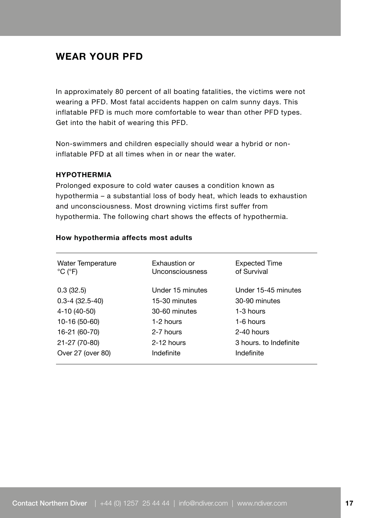## **WEAR YOUR PFD**

In approximately 80 percent of all boating fatalities, the victims were not wearing a PFD. Most fatal accidents happen on calm sunny days. This inflatable PFD is much more comfortable to wear than other PFD types. Get into the habit of wearing this PFD.

Non-swimmers and children especially should wear a hybrid or noninflatable PFD at all times when in or near the water.

#### **HYPOTHERMIA**

Prolonged exposure to cold water causes a condition known as hypothermia – a substantial loss of body heat, which leads to exhaustion and unconsciousness. Most drowning victims first suffer from hypothermia. The following chart shows the effects of hypothermia.

| <b>Water Temperature</b><br>$^{\circ}$ C ( $^{\circ}$ F) | Exhaustion or<br>Unconsciousness | <b>Expected Time</b><br>of Survival |
|----------------------------------------------------------|----------------------------------|-------------------------------------|
| 0.3(32.5)                                                | Under 15 minutes                 | Under 15-45 minutes                 |
| $0.3 - 4$ (32.5-40)                                      | 15-30 minutes                    | 30-90 minutes                       |
| 4-10 (40-50)                                             | 30-60 minutes                    | 1-3 hours                           |
| 10-16 (50-60)                                            | 1-2 hours                        | 1-6 hours                           |
| 16-21 (60-70)                                            | 2-7 hours                        | 2-40 hours                          |
| 21-27 (70-80)                                            | 2-12 hours                       | 3 hours, to Indefinite              |
| Over 27 (over 80)                                        | Indefinite                       | Indefinite                          |

#### **How hypothermia affects most adults**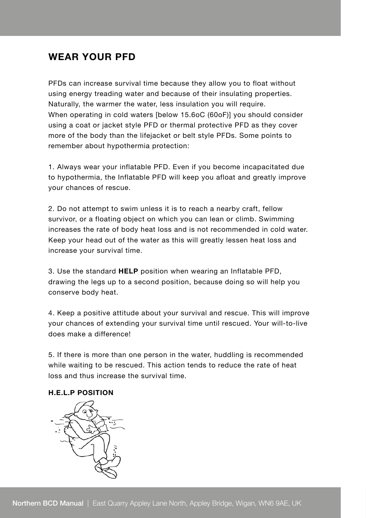## **WEAR YOUR PFD**

PFDs can increase survival time because they allow you to float without using energy treading water and because of their insulating properties. Naturally, the warmer the water, less insulation you will require. When operating in cold waters [below 15.6oC (60oF)] you should consider using a coat or jacket style PFD or thermal protective PFD as they cover more of the body than the lifejacket or belt style PFDs. Some points to remember about hypothermia protection:

1. Always wear your inflatable PFD. Even if you become incapacitated due to hypothermia, the Inflatable PFD will keep you afloat and greatly improve your chances of rescue.

2. Do not attempt to swim unless it is to reach a nearby craft, fellow survivor, or a floating object on which you can lean or climb. Swimming increases the rate of body heat loss and is not recommended in cold water. Keep your head out of the water as this will greatly lessen heat loss and increase your survival time.

3. Use the standard **HELP** position when wearing an Inflatable PFD, drawing the legs up to a second position, because doing so will help you conserve body heat.

4. Keep a positive attitude about your survival and rescue. This will improve your chances of extending your survival time until rescued. Your will-to-live does make a difference!

5. If there is more than one person in the water, huddling is recommended while waiting to be rescued. This action tends to reduce the rate of heat loss and thus increase the survival time.

#### **H.E.L.P POSITION**

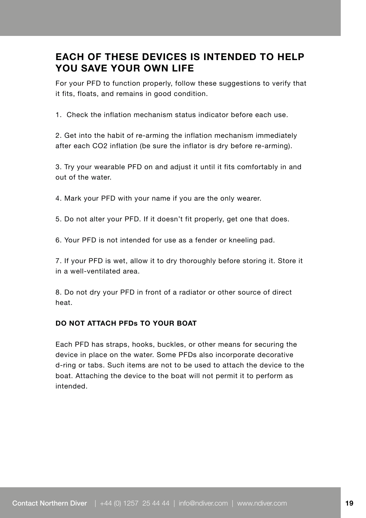## **EACH OF THESE DEVICES IS INTENDED TO HELP YOU SAVE YOUR OWN LIFE**

For your PFD to function properly, follow these suggestions to verify that it fits, floats, and remains in good condition.

1. Check the inflation mechanism status indicator before each use.

2. Get into the habit of re-arming the inflation mechanism immediately after each CO2 inflation (be sure the inflator is dry before re-arming).

3. Try your wearable PFD on and adjust it until it fits comfortably in and out of the water.

4. Mark your PFD with your name if you are the only wearer.

5. Do not alter your PFD. If it doesn't fit properly, get one that does.

6. Your PFD is not intended for use as a fender or kneeling pad.

7. If your PFD is wet, allow it to dry thoroughly before storing it. Store it in a well-ventilated area.

8. Do not dry your PFD in front of a radiator or other source of direct heat.

#### **DO NOT ATTACH PFDs TO YOUR BOAT**

Each PFD has straps, hooks, buckles, or other means for securing the device in place on the water. Some PFDs also incorporate decorative d-ring or tabs. Such items are not to be used to attach the device to the boat. Attaching the device to the boat will not permit it to perform as intended.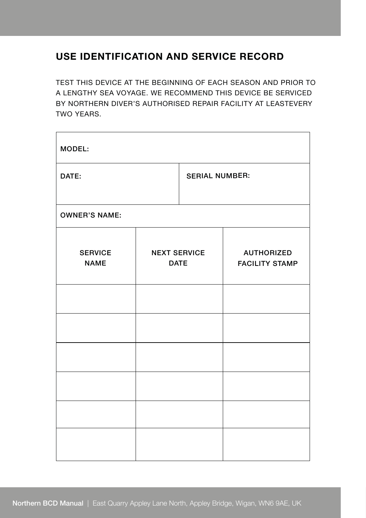## **USE IDENTIFICATION AND SERVICE RECORD**

TEST THIS DEVICE AT THE BEGINNING OF EACH SEASON AND PRIOR TO A LENGTHY SEA VOYAGE. WE RECOMMEND THIS DEVICE BE SERVICED BY NORTHERN DIVER'S AUTHORISED REPAIR FACILITY AT LEASTEVERY TWO YEARS.

| MODEL:                        |                                    |                       |                                            |  |  |  |  |
|-------------------------------|------------------------------------|-----------------------|--------------------------------------------|--|--|--|--|
| DATE:                         |                                    | <b>SERIAL NUMBER:</b> |                                            |  |  |  |  |
| <b>OWNER'S NAME:</b>          |                                    |                       |                                            |  |  |  |  |
| <b>SERVICE</b><br><b>NAME</b> | <b>NEXT SERVICE</b><br><b>DATE</b> |                       | <b>AUTHORIZED</b><br><b>FACILITY STAMP</b> |  |  |  |  |
|                               |                                    |                       |                                            |  |  |  |  |
|                               |                                    |                       |                                            |  |  |  |  |
|                               |                                    |                       |                                            |  |  |  |  |
|                               |                                    |                       |                                            |  |  |  |  |
|                               |                                    |                       |                                            |  |  |  |  |
|                               |                                    |                       |                                            |  |  |  |  |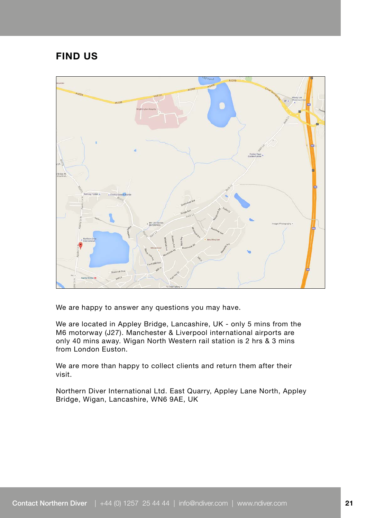## **FIND US**



We are happy to answer any questions you may have.

We are located in Appley Bridge, Lancashire, UK - only 5 mins from the M6 motorway (J27). Manchester & Liverpool international airports are only 40 mins away. Wigan North Western rail station is 2 hrs & 3 mins from London Euston.

We are more than happy to collect clients and return them after their visit.

Northern Diver International Ltd. East Quarry, Appley Lane North, Appley Bridge, Wigan, Lancashire, WN6 9AE, UK